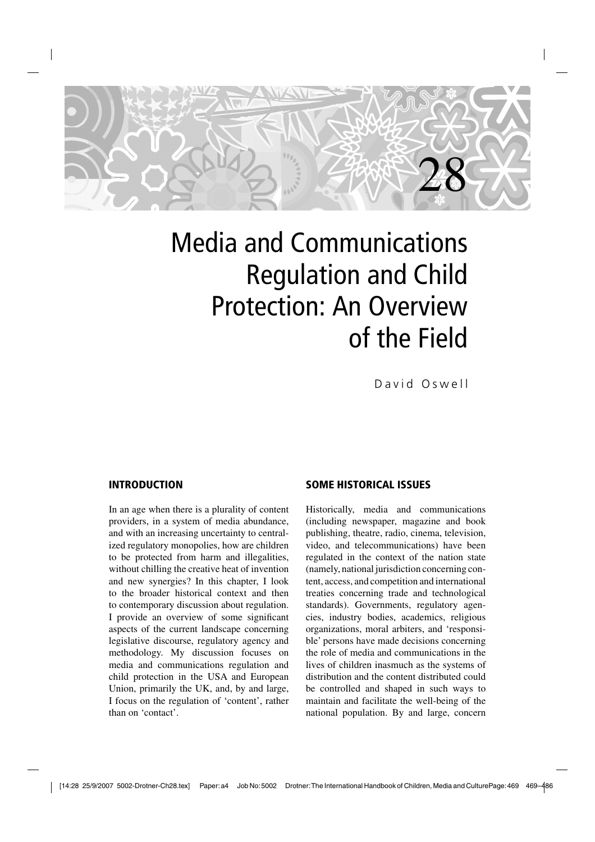

# Media and Communications Regulation and Child Protection: An Overview of the Field

David Oswell

## INTRODUCTION

In an age when there is a plurality of content providers, in a system of media abundance, and with an increasing uncertainty to centralized regulatory monopolies, how are children to be protected from harm and illegalities, without chilling the creative heat of invention and new synergies? In this chapter, I look to the broader historical context and then to contemporary discussion about regulation. I provide an overview of some significant aspects of the current landscape concerning legislative discourse, regulatory agency and methodology. My discussion focuses on media and communications regulation and child protection in the USA and European Union, primarily the UK, and, by and large, I focus on the regulation of 'content', rather than on 'contact'.

## SOME HISTORICAL ISSUES

Historically, media and communications (including newspaper, magazine and book publishing, theatre, radio, cinema, television, video, and telecommunications) have been regulated in the context of the nation state (namely, national jurisdiction concerning content, access, and competition and international treaties concerning trade and technological standards). Governments, regulatory agencies, industry bodies, academics, religious organizations, moral arbiters, and 'responsible' persons have made decisions concerning the role of media and communications in the lives of children inasmuch as the systems of distribution and the content distributed could be controlled and shaped in such ways to maintain and facilitate the well-being of the national population. By and large, concern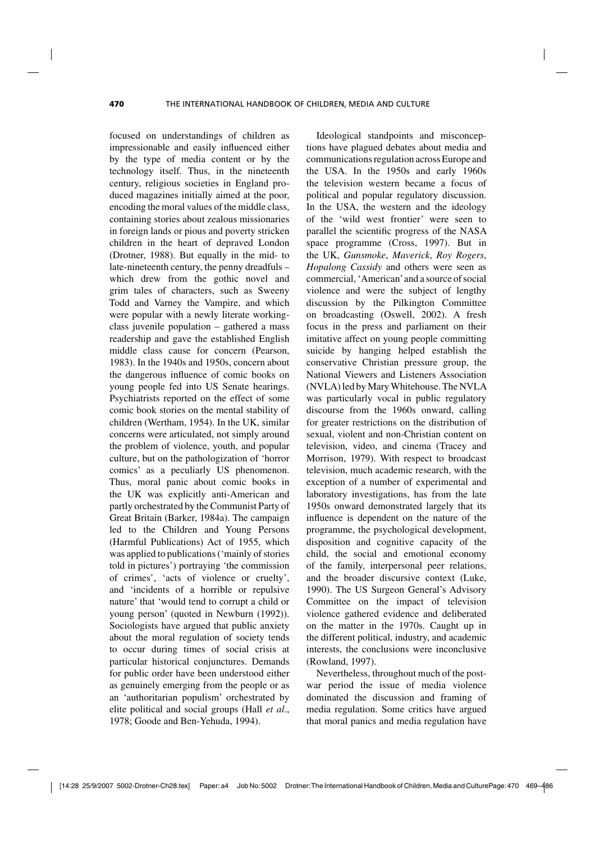focused on understandings of children as impressionable and easily influenced either by the type of media content or by the technology itself. Thus, in the nineteenth century, religious societies in England produced magazines initially aimed at the poor, encoding the moral values of the middle class, containing stories about zealous missionaries in foreign lands or pious and poverty stricken children in the heart of depraved London (Drotner, 1988). But equally in the mid- to late-nineteenth century, the penny dreadfuls – which drew from the gothic novel and grim tales of characters, such as Sweeny Todd and Varney the Vampire, and which were popular with a newly literate workingclass juvenile population – gathered a mass readership and gave the established English middle class cause for concern (Pearson, 1983). In the 1940s and 1950s, concern about the dangerous influence of comic books on young people fed into US Senate hearings. Psychiatrists reported on the effect of some comic book stories on the mental stability of children (Wertham, 1954). In the UK, similar concerns were articulated, not simply around the problem of violence, youth, and popular culture, but on the pathologization of 'horror comics' as a peculiarly US phenomenon. Thus, moral panic about comic books in the UK was explicitly anti-American and partly orchestrated by the Communist Party of Great Britain (Barker, 1984a). The campaign led to the Children and Young Persons (Harmful Publications) Act of 1955, which was applied to publications ('mainly of stories told in pictures') portraying 'the commission of crimes', 'acts of violence or cruelty', and 'incidents of a horrible or repulsive nature' that 'would tend to corrupt a child or young person' (quoted in Newburn (1992)). Sociologists have argued that public anxiety about the moral regulation of society tends to occur during times of social crisis at particular historical conjunctures. Demands for public order have been understood either as genuinely emerging from the people or as an 'authoritarian populism' orchestrated by elite political and social groups (Hall *et al*., 1978; Goode and Ben-Yehuda, 1994).

Ideological standpoints and misconceptions have plagued debates about media and communications regulation across Europe and the USA. In the 1950s and early 1960s the television western became a focus of political and popular regulatory discussion. In the USA, the western and the ideology of the 'wild west frontier' were seen to parallel the scientific progress of the NASA space programme (Cross, 1997). But in the UK, *Gunsmoke*, *Maverick*, *Roy Rogers*, *Hopalong Cassidy* and others were seen as commercial, 'American'and a source of social violence and were the subject of lengthy discussion by the Pilkington Committee on broadcasting (Oswell, 2002). A fresh focus in the press and parliament on their imitative affect on young people committing suicide by hanging helped establish the conservative Christian pressure group, the National Viewers and Listeners Association (NVLA) led by MaryWhitehouse. The NVLA was particularly vocal in public regulatory discourse from the 1960s onward, calling for greater restrictions on the distribution of sexual, violent and non-Christian content on television, video, and cinema (Tracey and Morrison, 1979). With respect to broadcast television, much academic research, with the exception of a number of experimental and laboratory investigations, has from the late 1950s onward demonstrated largely that its influence is dependent on the nature of the programme, the psychological development, disposition and cognitive capacity of the child, the social and emotional economy of the family, interpersonal peer relations, and the broader discursive context (Luke, 1990). The US Surgeon General's Advisory Committee on the impact of television violence gathered evidence and deliberated on the matter in the 1970s. Caught up in the different political, industry, and academic interests, the conclusions were inconclusive (Rowland, 1997).

Nevertheless, throughout much of the postwar period the issue of media violence dominated the discussion and framing of media regulation. Some critics have argued that moral panics and media regulation have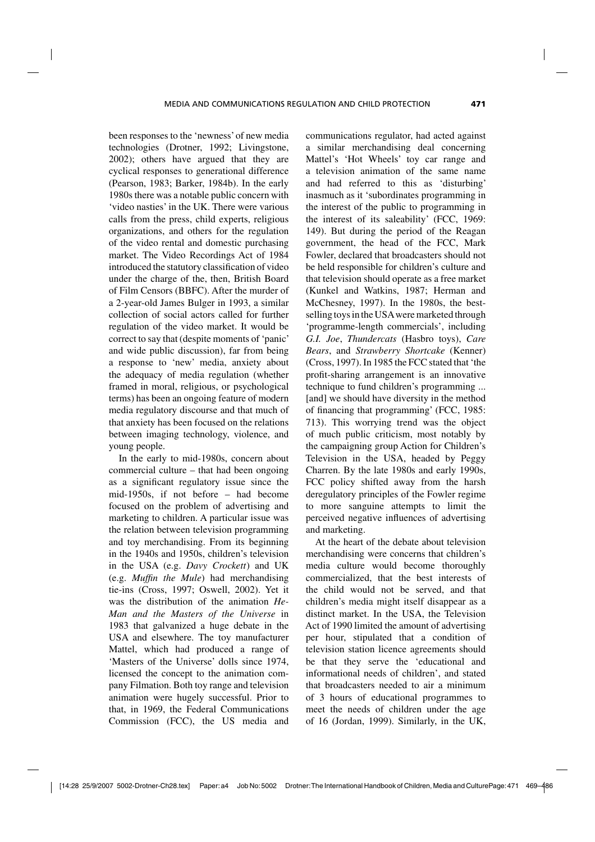been responses to the 'newness' of new media technologies (Drotner, 1992; Livingstone, 2002); others have argued that they are cyclical responses to generational difference (Pearson, 1983; Barker, 1984b). In the early 1980s there was a notable public concern with 'video nasties' in the UK. There were various calls from the press, child experts, religious organizations, and others for the regulation of the video rental and domestic purchasing market. The Video Recordings Act of 1984 introduced the statutory classification of video under the charge of the, then, British Board of Film Censors (BBFC). After the murder of a 2-year-old James Bulger in 1993, a similar collection of social actors called for further regulation of the video market. It would be correct to say that (despite moments of 'panic' and wide public discussion), far from being a response to 'new' media, anxiety about the adequacy of media regulation (whether framed in moral, religious, or psychological terms) has been an ongoing feature of modern media regulatory discourse and that much of that anxiety has been focused on the relations between imaging technology, violence, and young people.

In the early to mid-1980s, concern about commercial culture – that had been ongoing as a significant regulatory issue since the mid-1950s, if not before – had become focused on the problem of advertising and marketing to children. A particular issue was the relation between television programming and toy merchandising. From its beginning in the 1940s and 1950s, children's television in the USA (e.g. *Davy Crockett*) and UK (e.g. *Muffin the Mule*) had merchandising tie-ins (Cross, 1997; Oswell, 2002). Yet it was the distribution of the animation *He-Man and the Masters of the Universe* in 1983 that galvanized a huge debate in the USA and elsewhere. The toy manufacturer Mattel, which had produced a range of 'Masters of the Universe' dolls since 1974, licensed the concept to the animation company Filmation. Both toy range and television animation were hugely successful. Prior to that, in 1969, the Federal Communications Commission (FCC), the US media and communications regulator, had acted against a similar merchandising deal concerning Mattel's 'Hot Wheels' toy car range and a television animation of the same name and had referred to this as 'disturbing' inasmuch as it 'subordinates programming in the interest of the public to programming in the interest of its saleability' (FCC, 1969: 149). But during the period of the Reagan government, the head of the FCC, Mark Fowler, declared that broadcasters should not be held responsible for children's culture and that television should operate as a free market (Kunkel and Watkins, 1987; Herman and McChesney, 1997). In the 1980s, the bestselling toys in the USAwere marketed through 'programme-length commercials', including *G.I. Joe*, *Thundercats* (Hasbro toys), *Care Bears*, and *Strawberry Shortcake* (Kenner) (Cross, 1997). In 1985 the FCC stated that 'the profit-sharing arrangement is an innovative technique to fund children's programming ... [and] we should have diversity in the method of financing that programming' (FCC, 1985: 713). This worrying trend was the object of much public criticism, most notably by the campaigning group Action for Children's Television in the USA, headed by Peggy Charren. By the late 1980s and early 1990s, FCC policy shifted away from the harsh deregulatory principles of the Fowler regime to more sanguine attempts to limit the perceived negative influences of advertising and marketing.

At the heart of the debate about television merchandising were concerns that children's media culture would become thoroughly commercialized, that the best interests of the child would not be served, and that children's media might itself disappear as a distinct market. In the USA, the Television Act of 1990 limited the amount of advertising per hour, stipulated that a condition of television station licence agreements should be that they serve the 'educational and informational needs of children', and stated that broadcasters needed to air a minimum of 3 hours of educational programmes to meet the needs of children under the age of 16 (Jordan, 1999). Similarly, in the UK,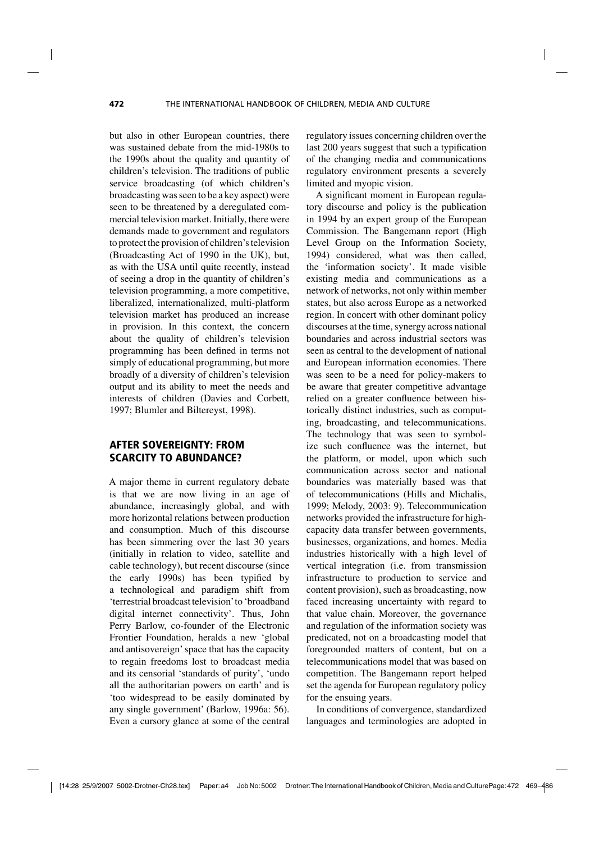but also in other European countries, there was sustained debate from the mid-1980s to the 1990s about the quality and quantity of children's television. The traditions of public service broadcasting (of which children's broadcasting was seen to be a key aspect) were seen to be threatened by a deregulated commercial television market. Initially, there were demands made to government and regulators to protect the provision of children's television (Broadcasting Act of 1990 in the UK), but, as with the USA until quite recently, instead of seeing a drop in the quantity of children's television programming, a more competitive, liberalized, internationalized, multi-platform television market has produced an increase in provision. In this context, the concern about the quality of children's television programming has been defined in terms not simply of educational programming, but more broadly of a diversity of children's television output and its ability to meet the needs and interests of children (Davies and Corbett, 1997; Blumler and Biltereyst, 1998).

### AFTER SOVEREIGNTY: FROM SCARCITY TO ABUNDANCE?

A major theme in current regulatory debate is that we are now living in an age of abundance, increasingly global, and with more horizontal relations between production and consumption. Much of this discourse has been simmering over the last 30 years (initially in relation to video, satellite and cable technology), but recent discourse (since the early 1990s) has been typified by a technological and paradigm shift from 'terrestrial broadcast television'to 'broadband digital internet connectivity'. Thus, John Perry Barlow, co-founder of the Electronic Frontier Foundation, heralds a new 'global and antisovereign' space that has the capacity to regain freedoms lost to broadcast media and its censorial 'standards of purity', 'undo all the authoritarian powers on earth' and is 'too widespread to be easily dominated by any single government' (Barlow, 1996a: 56). Even a cursory glance at some of the central

regulatory issues concerning children over the last 200 years suggest that such a typification of the changing media and communications regulatory environment presents a severely limited and myopic vision.

A significant moment in European regulatory discourse and policy is the publication in 1994 by an expert group of the European Commission. The Bangemann report (High Level Group on the Information Society, 1994) considered, what was then called, the 'information society'. It made visible existing media and communications as a network of networks, not only within member states, but also across Europe as a networked region. In concert with other dominant policy discourses at the time, synergy across national boundaries and across industrial sectors was seen as central to the development of national and European information economies. There was seen to be a need for policy-makers to be aware that greater competitive advantage relied on a greater confluence between historically distinct industries, such as computing, broadcasting, and telecommunications. The technology that was seen to symbolize such confluence was the internet, but the platform, or model, upon which such communication across sector and national boundaries was materially based was that of telecommunications (Hills and Michalis, 1999; Melody, 2003: 9). Telecommunication networks provided the infrastructure for highcapacity data transfer between governments, businesses, organizations, and homes. Media industries historically with a high level of vertical integration (i.e. from transmission infrastructure to production to service and content provision), such as broadcasting, now faced increasing uncertainty with regard to that value chain. Moreover, the governance and regulation of the information society was predicated, not on a broadcasting model that foregrounded matters of content, but on a telecommunications model that was based on competition. The Bangemann report helped set the agenda for European regulatory policy for the ensuing years.

In conditions of convergence, standardized languages and terminologies are adopted in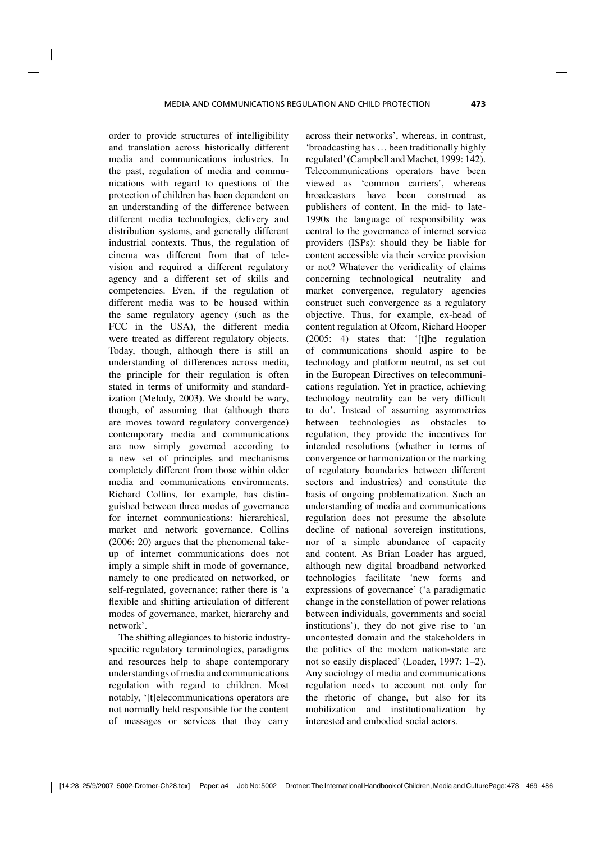order to provide structures of intelligibility and translation across historically different media and communications industries. In the past, regulation of media and communications with regard to questions of the protection of children has been dependent on an understanding of the difference between different media technologies, delivery and distribution systems, and generally different industrial contexts. Thus, the regulation of cinema was different from that of television and required a different regulatory agency and a different set of skills and competencies. Even, if the regulation of different media was to be housed within the same regulatory agency (such as the FCC in the USA), the different media were treated as different regulatory objects. Today, though, although there is still an understanding of differences across media, the principle for their regulation is often stated in terms of uniformity and standardization (Melody, 2003). We should be wary, though, of assuming that (although there are moves toward regulatory convergence) contemporary media and communications are now simply governed according to a new set of principles and mechanisms completely different from those within older media and communications environments. Richard Collins, for example, has distinguished between three modes of governance for internet communications: hierarchical, market and network governance. Collins (2006: 20) argues that the phenomenal takeup of internet communications does not imply a simple shift in mode of governance, namely to one predicated on networked, or self-regulated, governance; rather there is 'a flexible and shifting articulation of different modes of governance, market, hierarchy and network'.

The shifting allegiances to historic industryspecific regulatory terminologies, paradigms and resources help to shape contemporary understandings of media and communications regulation with regard to children. Most notably, '[t]elecommunications operators are not normally held responsible for the content of messages or services that they carry across their networks', whereas, in contrast, 'broadcasting has … been traditionally highly regulated' (Campbell and Machet, 1999: 142). Telecommunications operators have been viewed as 'common carriers', whereas broadcasters have been construed as publishers of content. In the mid- to late-1990s the language of responsibility was central to the governance of internet service providers (ISPs): should they be liable for content accessible via their service provision or not? Whatever the veridicality of claims concerning technological neutrality and market convergence, regulatory agencies construct such convergence as a regulatory objective. Thus, for example, ex-head of content regulation at Ofcom, Richard Hooper (2005: 4) states that: '[t]he regulation of communications should aspire to be technology and platform neutral, as set out in the European Directives on telecommunications regulation. Yet in practice, achieving technology neutrality can be very difficult to do'. Instead of assuming asymmetries between technologies as obstacles to regulation, they provide the incentives for intended resolutions (whether in terms of convergence or harmonization or the marking of regulatory boundaries between different sectors and industries) and constitute the basis of ongoing problematization. Such an understanding of media and communications regulation does not presume the absolute decline of national sovereign institutions, nor of a simple abundance of capacity and content. As Brian Loader has argued, although new digital broadband networked technologies facilitate 'new forms and expressions of governance' ('a paradigmatic change in the constellation of power relations between individuals, governments and social institutions'), they do not give rise to 'an uncontested domain and the stakeholders in the politics of the modern nation-state are not so easily displaced' (Loader, 1997: 1–2). Any sociology of media and communications regulation needs to account not only for the rhetoric of change, but also for its mobilization and institutionalization by interested and embodied social actors.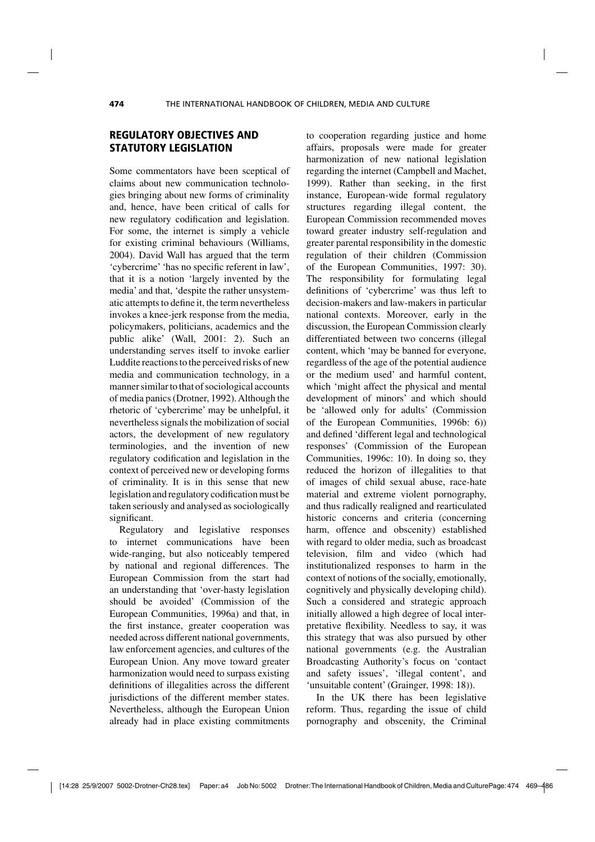## REGULATORY OBJECTIVES AND STATUTORY LEGISLATION

Some commentators have been sceptical of claims about new communication technologies bringing about new forms of criminality and, hence, have been critical of calls for new regulatory codification and legislation. For some, the internet is simply a vehicle for existing criminal behaviours (Williams, 2004). David Wall has argued that the term 'cybercrime' 'has no specific referent in law', that it is a notion 'largely invented by the media' and that, 'despite the rather unsystematic attempts to define it, the term nevertheless invokes a knee-jerk response from the media, policymakers, politicians, academics and the public alike' (Wall, 2001: 2). Such an understanding serves itself to invoke earlier Luddite reactions to the perceived risks of new media and communication technology, in a manner similar to that of sociological accounts of media panics (Drotner, 1992). Although the rhetoric of 'cybercrime' may be unhelpful, it nevertheless signals the mobilization of social actors, the development of new regulatory terminologies, and the invention of new regulatory codification and legislation in the context of perceived new or developing forms of criminality. It is in this sense that new legislation and regulatory codification must be taken seriously and analysed as sociologically significant.

Regulatory and legislative responses to internet communications have been wide-ranging, but also noticeably tempered by national and regional differences. The European Commission from the start had an understanding that 'over-hasty legislation should be avoided' (Commission of the European Communities, 1996a) and that, in the first instance, greater cooperation was needed across different national governments, law enforcement agencies, and cultures of the European Union. Any move toward greater harmonization would need to surpass existing definitions of illegalities across the different jurisdictions of the different member states. Nevertheless, although the European Union already had in place existing commitments

to cooperation regarding justice and home affairs, proposals were made for greater harmonization of new national legislation regarding the internet (Campbell and Machet, 1999). Rather than seeking, in the first instance, European-wide formal regulatory structures regarding illegal content, the European Commission recommended moves toward greater industry self-regulation and greater parental responsibility in the domestic regulation of their children (Commission of the European Communities, 1997: 30). The responsibility for formulating legal definitions of 'cybercrime' was thus left to decision-makers and law-makers in particular national contexts. Moreover, early in the discussion, the European Commission clearly differentiated between two concerns (illegal content, which 'may be banned for everyone, regardless of the age of the potential audience or the medium used' and harmful content, which 'might affect the physical and mental development of minors' and which should be 'allowed only for adults' (Commission of the European Communities, 1996b: 6)) and defined 'different legal and technological responses' (Commission of the European Communities, 1996c: 10). In doing so, they reduced the horizon of illegalities to that of images of child sexual abuse, race-hate material and extreme violent pornography, and thus radically realigned and rearticulated historic concerns and criteria (concerning harm, offence and obscenity) established with regard to older media, such as broadcast television, film and video (which had institutionalized responses to harm in the context of notions of the socially, emotionally, cognitively and physically developing child). Such a considered and strategic approach initially allowed a high degree of local interpretative flexibility. Needless to say, it was this strategy that was also pursued by other national governments (e.g. the Australian Broadcasting Authority's focus on 'contact and safety issues', 'illegal content', and 'unsuitable content' (Grainger, 1998: 18)).

In the UK there has been legislative reform. Thus, regarding the issue of child pornography and obscenity, the Criminal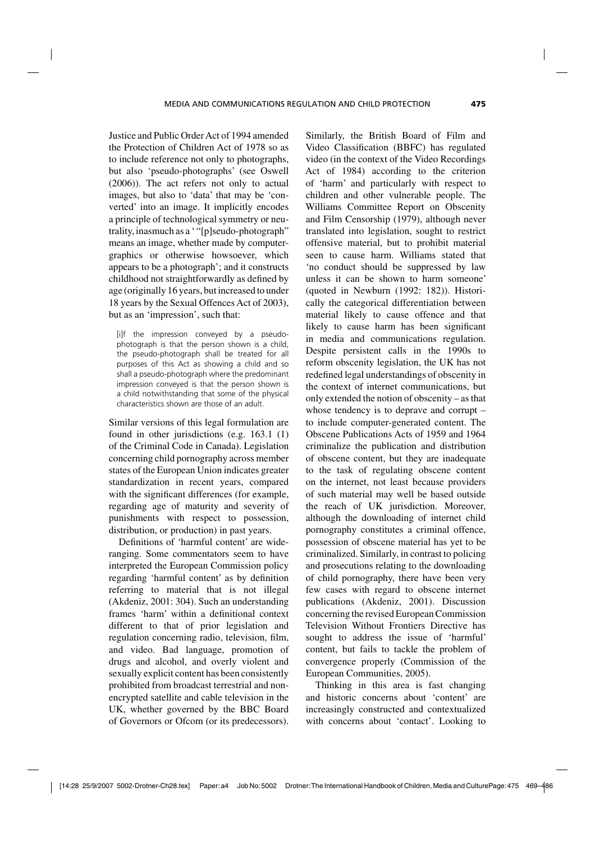Justice and Public OrderAct of 1994 amended the Protection of Children Act of 1978 so as to include reference not only to photographs, but also 'pseudo-photographs' (see Oswell (2006)). The act refers not only to actual images, but also to 'data' that may be 'converted' into an image. It implicitly encodes a principle of technological symmetry or neutrality, inasmuch as a ' "[p]seudo-photograph" means an image, whether made by computergraphics or otherwise howsoever, which appears to be a photograph'; and it constructs childhood not straightforwardly as defined by age (originally 16 years, but increased to under 18 years by the Sexual Offences Act of 2003), but as an 'impression', such that:

[i]f the impression conveyed by a pseudophotograph is that the person shown is a child, the pseudo-photograph shall be treated for all purposes of this Act as showing a child and so shall a pseudo-photograph where the predominant impression conveyed is that the person shown is a child notwithstanding that some of the physical characteristics shown are those of an adult.

Similar versions of this legal formulation are found in other jurisdictions (e.g. 163.1 (1) of the Criminal Code in Canada). Legislation concerning child pornography across member states of the European Union indicates greater standardization in recent years, compared with the significant differences (for example, regarding age of maturity and severity of punishments with respect to possession, distribution, or production) in past years.

Definitions of 'harmful content' are wideranging. Some commentators seem to have interpreted the European Commission policy regarding 'harmful content' as by definition referring to material that is not illegal (Akdeniz, 2001: 304). Such an understanding frames 'harm' within a definitional context different to that of prior legislation and regulation concerning radio, television, film, and video. Bad language, promotion of drugs and alcohol, and overly violent and sexually explicit content has been consistently prohibited from broadcast terrestrial and nonencrypted satellite and cable television in the UK, whether governed by the BBC Board of Governors or Ofcom (or its predecessors).

Similarly, the British Board of Film and Video Classification (BBFC) has regulated video (in the context of the Video Recordings Act of 1984) according to the criterion of 'harm' and particularly with respect to children and other vulnerable people. The Williams Committee Report on Obscenity and Film Censorship (1979), although never translated into legislation, sought to restrict offensive material, but to prohibit material seen to cause harm. Williams stated that 'no conduct should be suppressed by law unless it can be shown to harm someone' (quoted in Newburn (1992: 182)). Historically the categorical differentiation between material likely to cause offence and that likely to cause harm has been significant in media and communications regulation. Despite persistent calls in the 1990s to reform obscenity legislation, the UK has not redefined legal understandings of obscenity in the context of internet communications, but only extended the notion of obscenity – as that whose tendency is to deprave and corrupt – to include computer-generated content. The Obscene Publications Acts of 1959 and 1964 criminalize the publication and distribution of obscene content, but they are inadequate to the task of regulating obscene content on the internet, not least because providers of such material may well be based outside the reach of UK jurisdiction. Moreover, although the downloading of internet child pornography constitutes a criminal offence, possession of obscene material has yet to be criminalized. Similarly, in contrast to policing and prosecutions relating to the downloading of child pornography, there have been very few cases with regard to obscene internet publications (Akdeniz, 2001). Discussion concerning the revised European Commission Television Without Frontiers Directive has sought to address the issue of 'harmful' content, but fails to tackle the problem of convergence properly (Commission of the European Communities, 2005).

Thinking in this area is fast changing and historic concerns about 'content' are increasingly constructed and contextualized with concerns about 'contact'. Looking to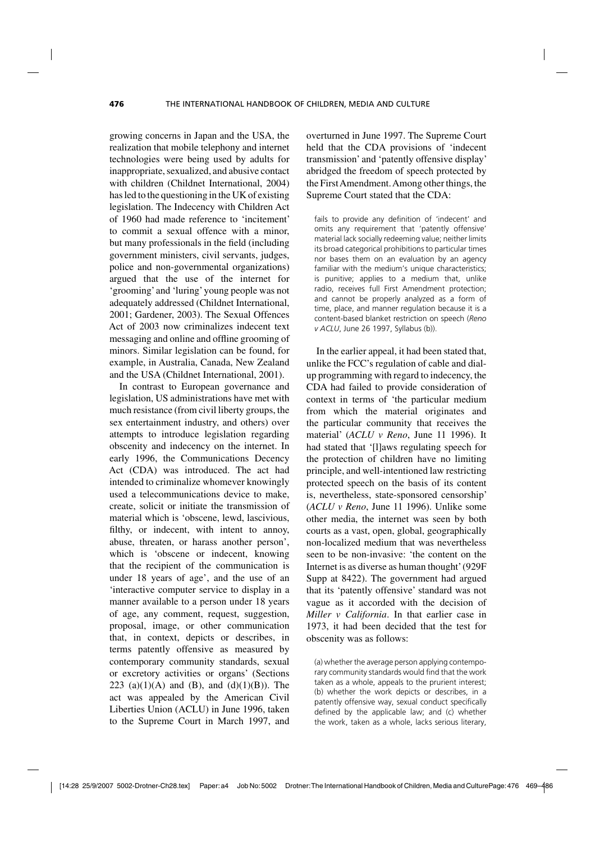growing concerns in Japan and the USA, the realization that mobile telephony and internet technologies were being used by adults for inappropriate, sexualized, and abusive contact with children (Childnet International, 2004) has led to the questioning in the UK of existing legislation. The Indecency with Children Act of 1960 had made reference to 'incitement' to commit a sexual offence with a minor, but many professionals in the field (including government ministers, civil servants, judges, police and non-governmental organizations) argued that the use of the internet for 'grooming' and 'luring' young people was not adequately addressed (Childnet International, 2001; Gardener, 2003). The Sexual Offences Act of 2003 now criminalizes indecent text messaging and online and offline grooming of minors. Similar legislation can be found, for example, in Australia, Canada, New Zealand and the USA (Childnet International, 2001).

In contrast to European governance and legislation, US administrations have met with much resistance (from civil liberty groups, the sex entertainment industry, and others) over attempts to introduce legislation regarding obscenity and indecency on the internet. In early 1996, the Communications Decency Act (CDA) was introduced. The act had intended to criminalize whomever knowingly used a telecommunications device to make, create, solicit or initiate the transmission of material which is 'obscene, lewd, lascivious, filthy, or indecent, with intent to annoy, abuse, threaten, or harass another person', which is 'obscene or indecent, knowing that the recipient of the communication is under 18 years of age', and the use of an 'interactive computer service to display in a manner available to a person under 18 years of age, any comment, request, suggestion, proposal, image, or other communication that, in context, depicts or describes, in terms patently offensive as measured by contemporary community standards, sexual or excretory activities or organs' (Sections 223 (a)(1)(A) and (B), and (d)(1)(B)). The act was appealed by the American Civil Liberties Union (ACLU) in June 1996, taken to the Supreme Court in March 1997, and overturned in June 1997. The Supreme Court held that the CDA provisions of 'indecent transmission' and 'patently offensive display' abridged the freedom of speech protected by the FirstAmendment.Among other things, the Supreme Court stated that the CDA:

fails to provide any definition of 'indecent' and omits any requirement that 'patently offensive' material lack socially redeeming value; neither limits its broad categorical prohibitions to particular times nor bases them on an evaluation by an agency familiar with the medium's unique characteristics; is punitive; applies to a medium that, unlike radio, receives full First Amendment protection; and cannot be properly analyzed as a form of time, place, and manner regulation because it is a content-based blanket restriction on speech (*Reno v ACLU*, June 26 1997, Syllabus (b)).

In the earlier appeal, it had been stated that, unlike the FCC's regulation of cable and dialup programming with regard to indecency, the CDA had failed to provide consideration of context in terms of 'the particular medium from which the material originates and the particular community that receives the material' (*ACLU v Reno*, June 11 1996). It had stated that '[l]aws regulating speech for the protection of children have no limiting principle, and well-intentioned law restricting protected speech on the basis of its content is, nevertheless, state-sponsored censorship' (*ACLU v Reno*, June 11 1996). Unlike some other media, the internet was seen by both courts as a vast, open, global, geographically non-localized medium that was nevertheless seen to be non-invasive: 'the content on the Internet is as diverse as human thought' (929F Supp at 8422). The government had argued that its 'patently offensive' standard was not vague as it accorded with the decision of *Miller v California*. In that earlier case in 1973, it had been decided that the test for obscenity was as follows:

(a) whether the average person applying contemporary community standards would find that the work taken as a whole, appeals to the prurient interest; (b) whether the work depicts or describes, in a patently offensive way, sexual conduct specifically defined by the applicable law; and (c) whether the work, taken as a whole, lacks serious literary,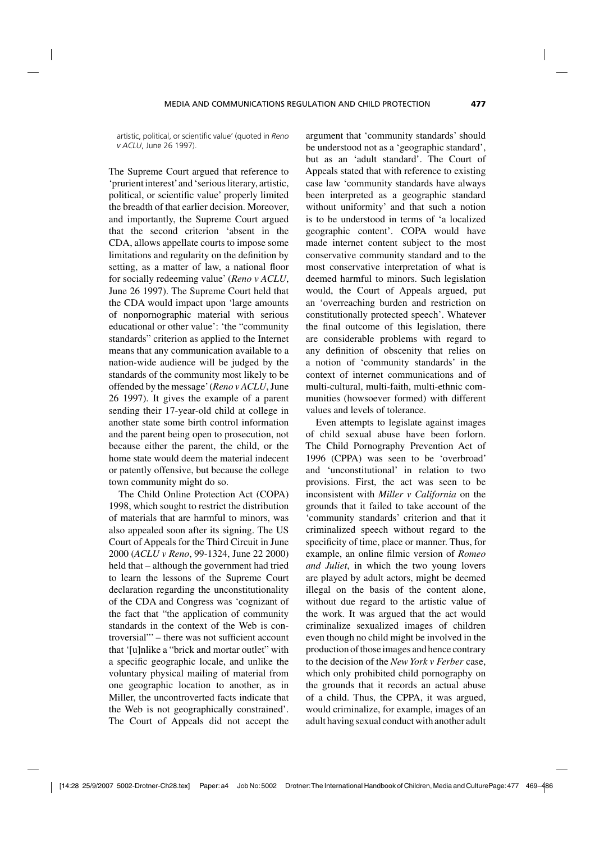artistic, political, or scientific value' (quoted in *Reno v ACLU*, June 26 1997).

The Supreme Court argued that reference to 'prurient interest'and 'serious literary, artistic, political, or scientific value' properly limited the breadth of that earlier decision. Moreover, and importantly, the Supreme Court argued that the second criterion 'absent in the CDA, allows appellate courts to impose some limitations and regularity on the definition by setting, as a matter of law, a national floor for socially redeeming value' (*Reno v ACLU*, June 26 1997). The Supreme Court held that the CDA would impact upon 'large amounts of nonpornographic material with serious educational or other value': 'the "community standards" criterion as applied to the Internet means that any communication available to a nation-wide audience will be judged by the standards of the community most likely to be offended by the message' (*Reno v ACLU*, June 26 1997). It gives the example of a parent sending their 17-year-old child at college in another state some birth control information and the parent being open to prosecution, not because either the parent, the child, or the home state would deem the material indecent or patently offensive, but because the college town community might do so.

The Child Online Protection Act (COPA) 1998, which sought to restrict the distribution of materials that are harmful to minors, was also appealed soon after its signing. The US Court of Appeals for the Third Circuit in June 2000 (*ACLU v Reno*, 99-1324, June 22 2000) held that – although the government had tried to learn the lessons of the Supreme Court declaration regarding the unconstitutionality of the CDA and Congress was 'cognizant of the fact that "the application of community standards in the context of the Web is controversial"' – there was not sufficient account that '[u]nlike a "brick and mortar outlet" with a specific geographic locale, and unlike the voluntary physical mailing of material from one geographic location to another, as in Miller, the uncontroverted facts indicate that the Web is not geographically constrained'. The Court of Appeals did not accept the argument that 'community standards' should be understood not as a 'geographic standard', but as an 'adult standard'. The Court of Appeals stated that with reference to existing case law 'community standards have always been interpreted as a geographic standard without uniformity' and that such a notion is to be understood in terms of 'a localized geographic content'. COPA would have made internet content subject to the most conservative community standard and to the most conservative interpretation of what is deemed harmful to minors. Such legislation would, the Court of Appeals argued, put an 'overreaching burden and restriction on constitutionally protected speech'. Whatever the final outcome of this legislation, there are considerable problems with regard to any definition of obscenity that relies on a notion of 'community standards' in the context of internet communications and of multi-cultural, multi-faith, multi-ethnic communities (howsoever formed) with different values and levels of tolerance.

Even attempts to legislate against images of child sexual abuse have been forlorn. The Child Pornography Prevention Act of 1996 (CPPA) was seen to be 'overbroad' and 'unconstitutional' in relation to two provisions. First, the act was seen to be inconsistent with *Miller v California* on the grounds that it failed to take account of the 'community standards' criterion and that it criminalized speech without regard to the specificity of time, place or manner. Thus, for example, an online filmic version of *Romeo and Juliet*, in which the two young lovers are played by adult actors, might be deemed illegal on the basis of the content alone, without due regard to the artistic value of the work. It was argued that the act would criminalize sexualized images of children even though no child might be involved in the production of those images and hence contrary to the decision of the *New York v Ferber* case, which only prohibited child pornography on the grounds that it records an actual abuse of a child. Thus, the CPPA, it was argued, would criminalize, for example, images of an adult having sexual conduct with another adult

[14:28 25/9/2007 5002-Drotner-Ch28.tex] Paper: a4 Job No: 5002 Drotner:The International Handbook of Children, Media and CulturePage: 477 469–486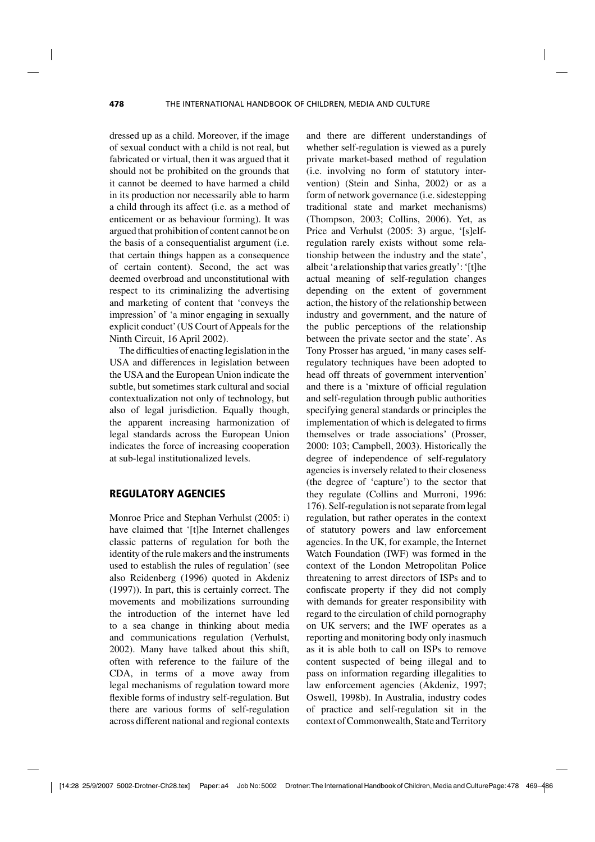dressed up as a child. Moreover, if the image of sexual conduct with a child is not real, but fabricated or virtual, then it was argued that it should not be prohibited on the grounds that it cannot be deemed to have harmed a child in its production nor necessarily able to harm a child through its affect (i.e. as a method of enticement or as behaviour forming). It was argued that prohibition of content cannot be on the basis of a consequentialist argument (i.e. that certain things happen as a consequence of certain content). Second, the act was deemed overbroad and unconstitutional with respect to its criminalizing the advertising and marketing of content that 'conveys the impression' of 'a minor engaging in sexually explicit conduct' (US Court of Appeals for the Ninth Circuit, 16 April 2002).

The difficulties of enacting legislation in the USA and differences in legislation between the USA and the European Union indicate the subtle, but sometimes stark cultural and social contextualization not only of technology, but also of legal jurisdiction. Equally though, the apparent increasing harmonization of legal standards across the European Union indicates the force of increasing cooperation at sub-legal institutionalized levels.

#### REGULATORY AGENCIES

Monroe Price and Stephan Verhulst (2005: i) have claimed that '[t]he Internet challenges classic patterns of regulation for both the identity of the rule makers and the instruments used to establish the rules of regulation' (see also Reidenberg (1996) quoted in Akdeniz (1997)). In part, this is certainly correct. The movements and mobilizations surrounding the introduction of the internet have led to a sea change in thinking about media and communications regulation (Verhulst, 2002). Many have talked about this shift, often with reference to the failure of the CDA, in terms of a move away from legal mechanisms of regulation toward more flexible forms of industry self-regulation. But there are various forms of self-regulation across different national and regional contexts

and there are different understandings of whether self-regulation is viewed as a purely private market-based method of regulation (i.e. involving no form of statutory intervention) (Stein and Sinha, 2002) or as a form of network governance (i.e. sidestepping traditional state and market mechanisms) (Thompson, 2003; Collins, 2006). Yet, as Price and Verhulst (2005: 3) argue, '[s]elfregulation rarely exists without some relationship between the industry and the state', albeit 'a relationship that varies greatly': '[t]he actual meaning of self-regulation changes depending on the extent of government action, the history of the relationship between industry and government, and the nature of the public perceptions of the relationship between the private sector and the state'. As Tony Prosser has argued, 'in many cases selfregulatory techniques have been adopted to head off threats of government intervention' and there is a 'mixture of official regulation and self-regulation through public authorities specifying general standards or principles the implementation of which is delegated to firms themselves or trade associations' (Prosser, 2000: 103; Campbell, 2003). Historically the degree of independence of self-regulatory agencies is inversely related to their closeness (the degree of 'capture') to the sector that they regulate (Collins and Murroni, 1996: 176). Self-regulation is not separate from legal regulation, but rather operates in the context of statutory powers and law enforcement agencies. In the UK, for example, the Internet Watch Foundation (IWF) was formed in the context of the London Metropolitan Police threatening to arrest directors of ISPs and to confiscate property if they did not comply with demands for greater responsibility with regard to the circulation of child pornography on UK servers; and the IWF operates as a reporting and monitoring body only inasmuch as it is able both to call on ISPs to remove content suspected of being illegal and to pass on information regarding illegalities to law enforcement agencies (Akdeniz, 1997; Oswell, 1998b). In Australia, industry codes of practice and self-regulation sit in the context of Commonwealth, State and Territory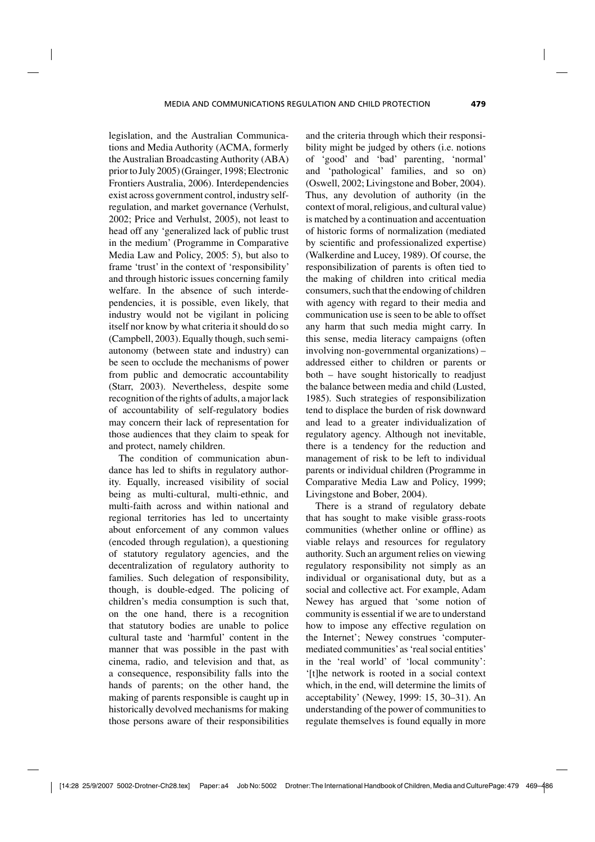legislation, and the Australian Communications and Media Authority (ACMA, formerly the Australian Broadcasting Authority (ABA) prior to July 2005) (Grainger, 1998; Electronic Frontiers Australia, 2006). Interdependencies exist across government control, industry selfregulation, and market governance (Verhulst, 2002; Price and Verhulst, 2005), not least to head off any 'generalized lack of public trust in the medium' (Programme in Comparative Media Law and Policy, 2005: 5), but also to frame 'trust' in the context of 'responsibility' and through historic issues concerning family welfare. In the absence of such interdependencies, it is possible, even likely, that industry would not be vigilant in policing itself nor know by what criteria it should do so (Campbell, 2003). Equally though, such semiautonomy (between state and industry) can be seen to occlude the mechanisms of power from public and democratic accountability (Starr, 2003). Nevertheless, despite some recognition of the rights of adults, a major lack of accountability of self-regulatory bodies may concern their lack of representation for those audiences that they claim to speak for and protect, namely children.

The condition of communication abundance has led to shifts in regulatory authority. Equally, increased visibility of social being as multi-cultural, multi-ethnic, and multi-faith across and within national and regional territories has led to uncertainty about enforcement of any common values (encoded through regulation), a questioning of statutory regulatory agencies, and the decentralization of regulatory authority to families. Such delegation of responsibility, though, is double-edged. The policing of children's media consumption is such that, on the one hand, there is a recognition that statutory bodies are unable to police cultural taste and 'harmful' content in the manner that was possible in the past with cinema, radio, and television and that, as a consequence, responsibility falls into the hands of parents; on the other hand, the making of parents responsible is caught up in historically devolved mechanisms for making those persons aware of their responsibilities and the criteria through which their responsibility might be judged by others (i.e. notions of 'good' and 'bad' parenting, 'normal' and 'pathological' families, and so on) (Oswell, 2002; Livingstone and Bober, 2004). Thus, any devolution of authority (in the context of moral, religious, and cultural value) is matched by a continuation and accentuation of historic forms of normalization (mediated by scientific and professionalized expertise) (Walkerdine and Lucey, 1989). Of course, the responsibilization of parents is often tied to the making of children into critical media consumers, such that the endowing of children with agency with regard to their media and communication use is seen to be able to offset any harm that such media might carry. In this sense, media literacy campaigns (often involving non-governmental organizations) – addressed either to children or parents or both – have sought historically to readjust the balance between media and child (Lusted, 1985). Such strategies of responsibilization tend to displace the burden of risk downward and lead to a greater individualization of regulatory agency. Although not inevitable, there is a tendency for the reduction and management of risk to be left to individual parents or individual children (Programme in Comparative Media Law and Policy, 1999; Livingstone and Bober, 2004).

There is a strand of regulatory debate that has sought to make visible grass-roots communities (whether online or offline) as viable relays and resources for regulatory authority. Such an argument relies on viewing regulatory responsibility not simply as an individual or organisational duty, but as a social and collective act. For example, Adam Newey has argued that 'some notion of community is essential if we are to understand how to impose any effective regulation on the Internet'; Newey construes 'computermediated communities'as 'real social entities' in the 'real world' of 'local community': '[t]he network is rooted in a social context which, in the end, will determine the limits of acceptability' (Newey, 1999: 15, 30–31). An understanding of the power of communities to regulate themselves is found equally in more

[14:28 25/9/2007 5002-Drotner-Ch28.tex] Paper: a4 Job No: 5002 Drotner:The International Handbook of Children, Media and CulturePage: 479 469–486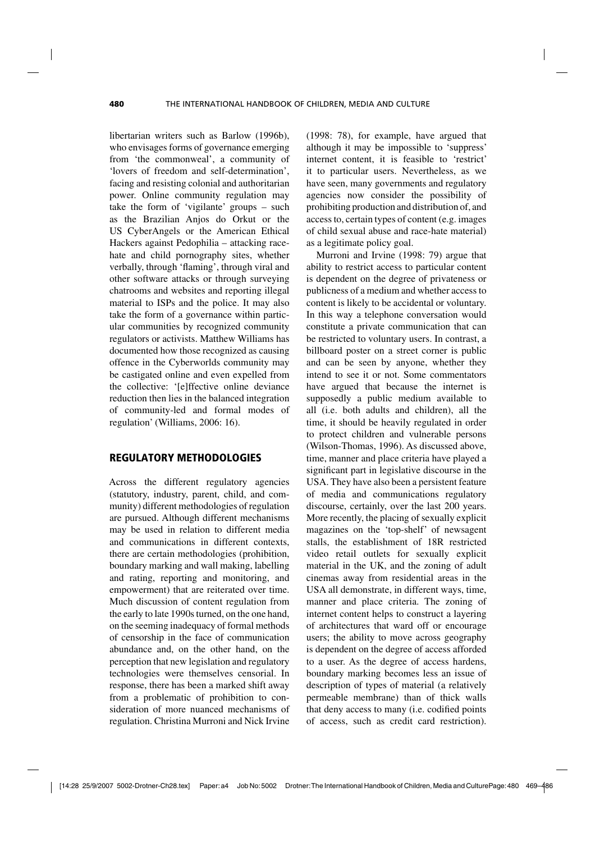libertarian writers such as Barlow (1996b), who envisages forms of governance emerging from 'the commonweal', a community of 'lovers of freedom and self-determination', facing and resisting colonial and authoritarian power. Online community regulation may take the form of 'vigilante' groups – such as the Brazilian Anjos do Orkut or the US CyberAngels or the American Ethical Hackers against Pedophilia – attacking racehate and child pornography sites, whether verbally, through 'flaming', through viral and other software attacks or through surveying chatrooms and websites and reporting illegal material to ISPs and the police. It may also take the form of a governance within particular communities by recognized community regulators or activists. Matthew Williams has documented how those recognized as causing offence in the Cyberworlds community may be castigated online and even expelled from the collective: '[e]ffective online deviance reduction then lies in the balanced integration of community-led and formal modes of regulation' (Williams, 2006: 16).

#### REGULATORY METHODOLOGIES

Across the different regulatory agencies (statutory, industry, parent, child, and community) different methodologies of regulation are pursued. Although different mechanisms may be used in relation to different media and communications in different contexts, there are certain methodologies (prohibition, boundary marking and wall making, labelling and rating, reporting and monitoring, and empowerment) that are reiterated over time. Much discussion of content regulation from the early to late 1990s turned, on the one hand, on the seeming inadequacy of formal methods of censorship in the face of communication abundance and, on the other hand, on the perception that new legislation and regulatory technologies were themselves censorial. In response, there has been a marked shift away from a problematic of prohibition to consideration of more nuanced mechanisms of regulation. Christina Murroni and Nick Irvine

(1998: 78), for example, have argued that although it may be impossible to 'suppress' internet content, it is feasible to 'restrict' it to particular users. Nevertheless, as we have seen, many governments and regulatory agencies now consider the possibility of prohibiting production and distribution of, and access to, certain types of content (e.g. images of child sexual abuse and race-hate material) as a legitimate policy goal.

Murroni and Irvine (1998: 79) argue that ability to restrict access to particular content is dependent on the degree of privateness or publicness of a medium and whether access to content is likely to be accidental or voluntary. In this way a telephone conversation would constitute a private communication that can be restricted to voluntary users. In contrast, a billboard poster on a street corner is public and can be seen by anyone, whether they intend to see it or not. Some commentators have argued that because the internet is supposedly a public medium available to all (i.e. both adults and children), all the time, it should be heavily regulated in order to protect children and vulnerable persons (Wilson-Thomas, 1996). As discussed above, time, manner and place criteria have played a significant part in legislative discourse in the USA. They have also been a persistent feature of media and communications regulatory discourse, certainly, over the last 200 years. More recently, the placing of sexually explicit magazines on the 'top-shelf' of newsagent stalls, the establishment of 18R restricted video retail outlets for sexually explicit material in the UK, and the zoning of adult cinemas away from residential areas in the USA all demonstrate, in different ways, time, manner and place criteria. The zoning of internet content helps to construct a layering of architectures that ward off or encourage users; the ability to move across geography is dependent on the degree of access afforded to a user. As the degree of access hardens, boundary marking becomes less an issue of description of types of material (a relatively permeable membrane) than of thick walls that deny access to many (i.e. codified points of access, such as credit card restriction).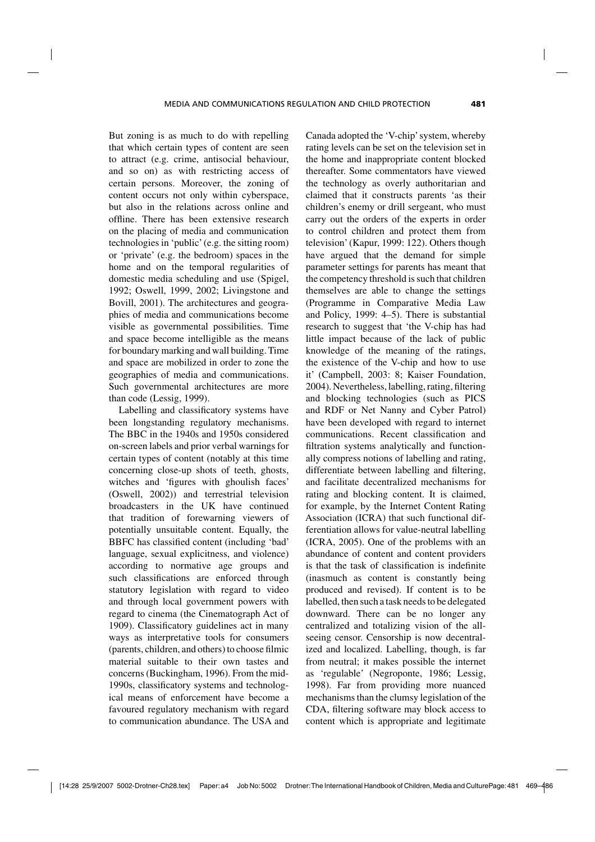But zoning is as much to do with repelling that which certain types of content are seen to attract (e.g. crime, antisocial behaviour, and so on) as with restricting access of certain persons. Moreover, the zoning of content occurs not only within cyberspace, but also in the relations across online and offline. There has been extensive research on the placing of media and communication technologies in 'public' (e.g. the sitting room) or 'private' (e.g. the bedroom) spaces in the home and on the temporal regularities of domestic media scheduling and use (Spigel, 1992; Oswell, 1999, 2002; Livingstone and Bovill, 2001). The architectures and geographies of media and communications become visible as governmental possibilities. Time and space become intelligible as the means for boundary marking and wall building. Time and space are mobilized in order to zone the geographies of media and communications. Such governmental architectures are more than code (Lessig, 1999).

Labelling and classificatory systems have been longstanding regulatory mechanisms. The BBC in the 1940s and 1950s considered on-screen labels and prior verbal warnings for certain types of content (notably at this time concerning close-up shots of teeth, ghosts, witches and 'figures with ghoulish faces' (Oswell, 2002)) and terrestrial television broadcasters in the UK have continued that tradition of forewarning viewers of potentially unsuitable content. Equally, the BBFC has classified content (including 'bad' language, sexual explicitness, and violence) according to normative age groups and such classifications are enforced through statutory legislation with regard to video and through local government powers with regard to cinema (the Cinematograph Act of 1909). Classificatory guidelines act in many ways as interpretative tools for consumers (parents, children, and others) to choose filmic material suitable to their own tastes and concerns (Buckingham, 1996). From the mid-1990s, classificatory systems and technological means of enforcement have become a favoured regulatory mechanism with regard to communication abundance. The USA and Canada adopted the 'V-chip' system, whereby rating levels can be set on the television set in the home and inappropriate content blocked thereafter. Some commentators have viewed the technology as overly authoritarian and claimed that it constructs parents 'as their children's enemy or drill sergeant, who must carry out the orders of the experts in order to control children and protect them from television' (Kapur, 1999: 122). Others though have argued that the demand for simple parameter settings for parents has meant that the competency threshold is such that children themselves are able to change the settings (Programme in Comparative Media Law and Policy, 1999: 4–5). There is substantial research to suggest that 'the V-chip has had little impact because of the lack of public knowledge of the meaning of the ratings, the existence of the V-chip and how to use it' (Campbell, 2003: 8; Kaiser Foundation, 2004). Nevertheless, labelling, rating, filtering and blocking technologies (such as PICS and RDF or Net Nanny and Cyber Patrol) have been developed with regard to internet communications. Recent classification and filtration systems analytically and functionally compress notions of labelling and rating, differentiate between labelling and filtering, and facilitate decentralized mechanisms for rating and blocking content. It is claimed, for example, by the Internet Content Rating Association (ICRA) that such functional differentiation allows for value-neutral labelling (ICRA, 2005). One of the problems with an abundance of content and content providers is that the task of classification is indefinite (inasmuch as content is constantly being produced and revised). If content is to be labelled, then such a task needs to be delegated downward. There can be no longer any centralized and totalizing vision of the allseeing censor. Censorship is now decentralized and localized. Labelling, though, is far from neutral; it makes possible the internet as 'regulable' (Negroponte, 1986; Lessig, 1998). Far from providing more nuanced mechanisms than the clumsy legislation of the CDA, filtering software may block access to content which is appropriate and legitimate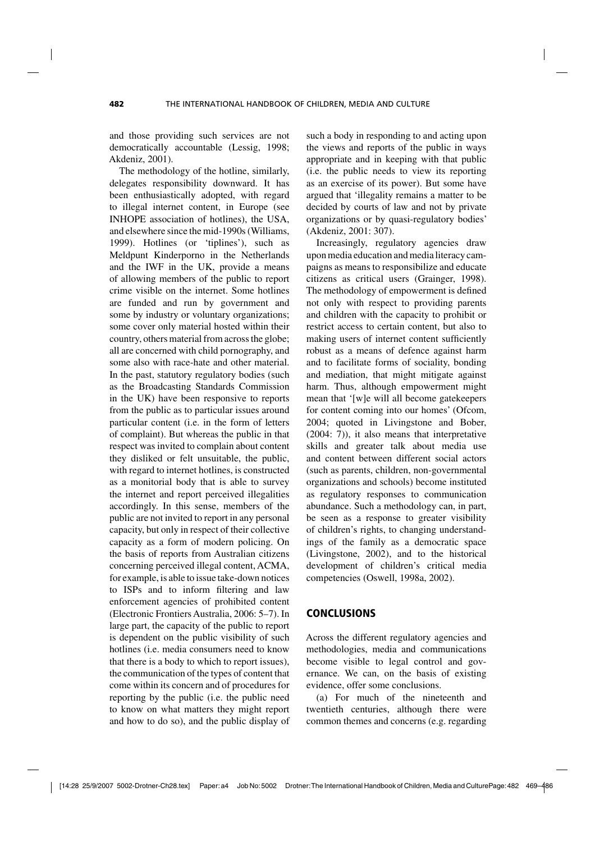and those providing such services are not democratically accountable (Lessig, 1998; Akdeniz, 2001).

The methodology of the hotline, similarly, delegates responsibility downward. It has been enthusiastically adopted, with regard to illegal internet content, in Europe (see INHOPE association of hotlines), the USA, and elsewhere since the mid-1990s (Williams, 1999). Hotlines (or 'tiplines'), such as Meldpunt Kinderporno in the Netherlands and the IWF in the UK, provide a means of allowing members of the public to report crime visible on the internet. Some hotlines are funded and run by government and some by industry or voluntary organizations; some cover only material hosted within their country, others material from across the globe; all are concerned with child pornography, and some also with race-hate and other material. In the past, statutory regulatory bodies (such as the Broadcasting Standards Commission in the UK) have been responsive to reports from the public as to particular issues around particular content (i.e. in the form of letters of complaint). But whereas the public in that respect was invited to complain about content they disliked or felt unsuitable, the public, with regard to internet hotlines, is constructed as a monitorial body that is able to survey the internet and report perceived illegalities accordingly. In this sense, members of the public are not invited to report in any personal capacity, but only in respect of their collective capacity as a form of modern policing. On the basis of reports from Australian citizens concerning perceived illegal content, ACMA, for example, is able to issue take-down notices to ISPs and to inform filtering and law enforcement agencies of prohibited content (Electronic Frontiers Australia, 2006: 5–7). In large part, the capacity of the public to report is dependent on the public visibility of such hotlines (i.e. media consumers need to know that there is a body to which to report issues), the communication of the types of content that come within its concern and of procedures for reporting by the public (i.e. the public need to know on what matters they might report and how to do so), and the public display of such a body in responding to and acting upon the views and reports of the public in ways appropriate and in keeping with that public (i.e. the public needs to view its reporting as an exercise of its power). But some have argued that 'illegality remains a matter to be decided by courts of law and not by private organizations or by quasi-regulatory bodies' (Akdeniz, 2001: 307).

Increasingly, regulatory agencies draw upon media education and media literacy campaigns as means to responsibilize and educate citizens as critical users (Grainger, 1998). The methodology of empowerment is defined not only with respect to providing parents and children with the capacity to prohibit or restrict access to certain content, but also to making users of internet content sufficiently robust as a means of defence against harm and to facilitate forms of sociality, bonding and mediation, that might mitigate against harm. Thus, although empowerment might mean that '[w]e will all become gatekeepers for content coming into our homes' (Ofcom, 2004; quoted in Livingstone and Bober, (2004: 7)), it also means that interpretative skills and greater talk about media use and content between different social actors (such as parents, children, non-governmental organizations and schools) become instituted as regulatory responses to communication abundance. Such a methodology can, in part, be seen as a response to greater visibility of children's rights, to changing understandings of the family as a democratic space (Livingstone, 2002), and to the historical development of children's critical media competencies (Oswell, 1998a, 2002).

#### **CONCLUSIONS**

Across the different regulatory agencies and methodologies, media and communications become visible to legal control and governance. We can, on the basis of existing evidence, offer some conclusions.

(a) For much of the nineteenth and twentieth centuries, although there were common themes and concerns (e.g. regarding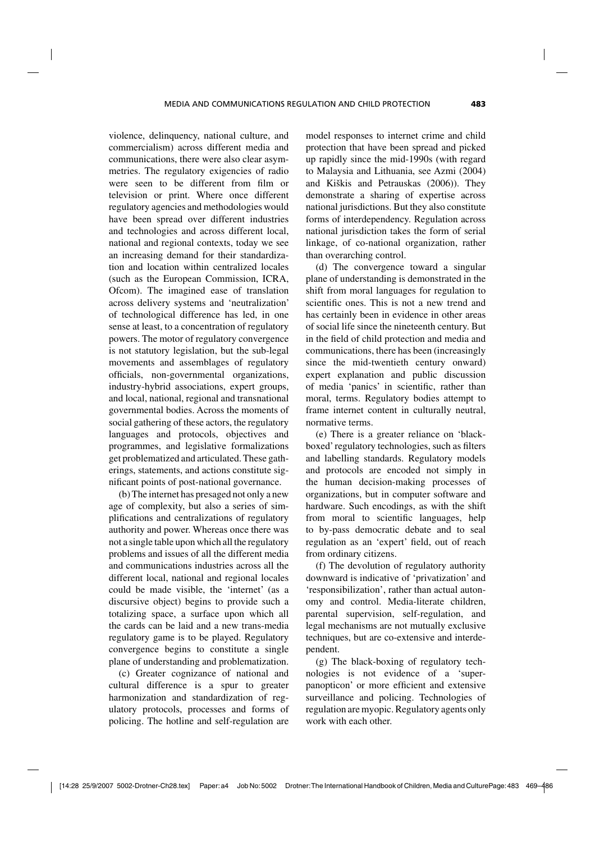violence, delinquency, national culture, and commercialism) across different media and communications, there were also clear asymmetries. The regulatory exigencies of radio were seen to be different from film or television or print. Where once different regulatory agencies and methodologies would have been spread over different industries and technologies and across different local, national and regional contexts, today we see an increasing demand for their standardization and location within centralized locales (such as the European Commission, ICRA, Ofcom). The imagined ease of translation across delivery systems and 'neutralization' of technological difference has led, in one sense at least, to a concentration of regulatory powers. The motor of regulatory convergence is not statutory legislation, but the sub-legal movements and assemblages of regulatory officials, non-governmental organizations, industry-hybrid associations, expert groups, and local, national, regional and transnational governmental bodies. Across the moments of social gathering of these actors, the regulatory languages and protocols, objectives and programmes, and legislative formalizations get problematized and articulated. These gatherings, statements, and actions constitute significant points of post-national governance.

(b) The internet has presaged not only a new age of complexity, but also a series of simplifications and centralizations of regulatory authority and power. Whereas once there was not a single table upon which all the regulatory problems and issues of all the different media and communications industries across all the different local, national and regional locales could be made visible, the 'internet' (as a discursive object) begins to provide such a totalizing space, a surface upon which all the cards can be laid and a new trans-media regulatory game is to be played. Regulatory convergence begins to constitute a single plane of understanding and problematization.

(c) Greater cognizance of national and cultural difference is a spur to greater harmonization and standardization of regulatory protocols, processes and forms of policing. The hotline and self-regulation are model responses to internet crime and child protection that have been spread and picked up rapidly since the mid-1990s (with regard to Malaysia and Lithuania, see Azmi (2004) and Kiškis and Petrauskas (2006)). They demonstrate a sharing of expertise across national jurisdictions. But they also constitute forms of interdependency. Regulation across national jurisdiction takes the form of serial linkage, of co-national organization, rather than overarching control.

(d) The convergence toward a singular plane of understanding is demonstrated in the shift from moral languages for regulation to scientific ones. This is not a new trend and has certainly been in evidence in other areas of social life since the nineteenth century. But in the field of child protection and media and communications, there has been (increasingly since the mid-twentieth century onward) expert explanation and public discussion of media 'panics' in scientific, rather than moral, terms. Regulatory bodies attempt to frame internet content in culturally neutral, normative terms.

(e) There is a greater reliance on 'blackboxed' regulatory technologies, such as filters and labelling standards. Regulatory models and protocols are encoded not simply in the human decision-making processes of organizations, but in computer software and hardware. Such encodings, as with the shift from moral to scientific languages, help to by-pass democratic debate and to seal regulation as an 'expert' field, out of reach from ordinary citizens.

(f) The devolution of regulatory authority downward is indicative of 'privatization' and 'responsibilization', rather than actual autonomy and control. Media-literate children, parental supervision, self-regulation, and legal mechanisms are not mutually exclusive techniques, but are co-extensive and interdependent.

(g) The black-boxing of regulatory technologies is not evidence of a 'superpanopticon' or more efficient and extensive surveillance and policing. Technologies of regulation are myopic. Regulatory agents only work with each other.

[14:28 25/9/2007 5002-Drotner-Ch28.tex] Paper: a4 Job No: 5002 Drotner:The International Handbook of Children, Media and CulturePage: 483 469–486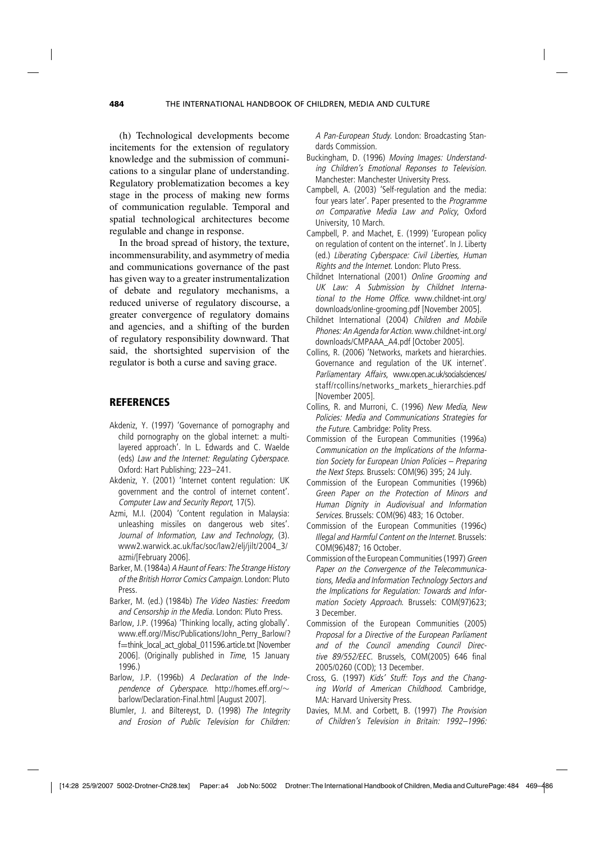**484** THE INTERNATIONAL HANDBOOK OF CHILDREN, MEDIA AND CULTURE

(h) Technological developments become incitements for the extension of regulatory knowledge and the submission of communications to a singular plane of understanding. Regulatory problematization becomes a key stage in the process of making new forms of communication regulable. Temporal and spatial technological architectures become regulable and change in response.

In the broad spread of history, the texture, incommensurability, and asymmetry of media and communications governance of the past has given way to a greater instrumentalization of debate and regulatory mechanisms, a reduced universe of regulatory discourse, a greater convergence of regulatory domains and agencies, and a shifting of the burden of regulatory responsibility downward. That said, the shortsighted supervision of the regulator is both a curse and saving grace.

#### **REFERENCES**

- Akdeniz, Y. (1997) 'Governance of pornography and child pornography on the global internet: a multilayered approach'. In L. Edwards and C. Waelde (eds) *Law and the Internet: Regulating Cyberspace*. Oxford: Hart Publishing; 223–241.
- Akdeniz, Y. (2001) 'Internet content regulation: UK government and the control of internet content'. *Computer Law and Security Report*, 17(5).
- Azmi, M.I. (2004) 'Content regulation in Malaysia: unleashing missiles on dangerous web sites'. *Journal of Information, Law and Technology*, (3). www2.warwick.ac.uk/fac/soc/law2/elj/jilt/2004\_3/ azmi/[February 2006].
- Barker, M. (1984a) *A Haunt of Fears: The Strange History of the British Horror Comics Campaign*. London: Pluto Press.
- Barker, M. (ed.) (1984b) *The Video Nasties: Freedom and Censorship in the Media*. London: Pluto Press.
- Barlow, J.P. (1996a) 'Thinking locally, acting globally'. www.eff.org//Misc/Publications/John\_Perry\_Barlow/? f=think\_local\_act\_global\_011596.article.txt [November 2006]. (Originally published in *Time*, 15 January 1996.)
- Barlow, J.P. (1996b) *A Declaration of the Independence of Cyberspace*. http://homes.eff.org/∼ barlow/Declaration-Final.html [August 2007].
- Blumler, J. and Biltereyst, D. (1998) *The Integrity and Erosion of Public Television for Children:*

*A Pan-European Study*. London: Broadcasting Standards Commission.

- Buckingham, D. (1996) *Moving Images: Understanding Children's Emotional Reponses to Television*. Manchester: Manchester University Press.
- Campbell, A. (2003) 'Self-regulation and the media: four years later'. Paper presented to the *Programme on Comparative Media Law and Policy*, Oxford University, 10 March.
- Campbell, P. and Machet, E. (1999) 'European policy on regulation of content on the internet'. In J. Liberty (ed.) *Liberating Cyberspace: Civil Liberties, Human Rights and the Internet*. London: Pluto Press.
- Childnet International (2001) *Online Grooming and UK Law: A Submission by Childnet International to the Home Office*. www.childnet-int.org/ downloads/online-grooming.pdf [November 2005].
- Childnet International (2004) *Children and Mobile Phones: An Agenda for Action*. www.childnet-int.org/ downloads/CMPAAA\_A4.pdf [October 2005].
- Collins, R. (2006) 'Networks, markets and hierarchies. Governance and regulation of the UK internet'. *Parliamentary Affairs*, www.open.ac.uk/socialsciences/ staff/rcollins/networks\_markets\_hierarchies.pdf [November 2005].
- Collins, R. and Murroni, C. (1996) *New Media, New Policies: Media and Communications Strategies for the Future*. Cambridge: Polity Press.
- Commission of the European Communities (1996a) *Communication on the Implications of the Information Society for European Union Policies – Preparing the Next Steps*. Brussels: COM(96) 395; 24 July.
- Commission of the European Communities (1996b) *Green Paper on the Protection of Minors and Human Dignity in Audiovisual and Information Services*. Brussels: COM(96) 483; 16 October.
- Commission of the European Communities (1996c) *Illegal and Harmful Content on the Internet*. Brussels: COM(96)487; 16 October.
- Commission of the European Communities (1997) *Green Paper on the Convergence of the Telecommunications, Media and Information Technology Sectors and the Implications for Regulation: Towards and Information Society Approach*. Brussels: COM(97)623; 3 December.
- Commission of the European Communities (2005) *Proposal for a Directive of the European Parliament and of the Council amending Council Directive 89/552/EEC*. Brussels, COM(2005) 646 final 2005/0260 (COD); 13 December.
- Cross, G. (1997) *Kids' Stuff: Toys and the Changing World of American Childhood*. Cambridge, MA: Harvard University Press.
- Davies, M.M. and Corbett, B. (1997) *The Provision of Children's Television in Britain: 1992–1996:*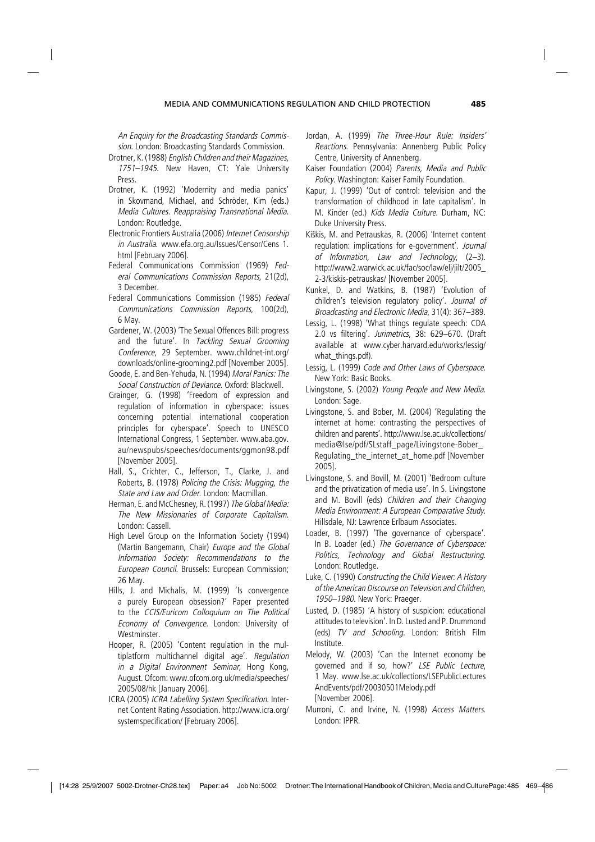*An Enquiry for the Broadcasting Standards Commission*. London: Broadcasting Standards Commission.

- Drotner, K. (1988) *English Children and their Magazines, 1751–1945*. New Haven, CT: Yale University Press.
- Drotner, K. (1992) 'Modernity and media panics' in Skovmand, Michael, and Schröder, Kim (eds.) *Media Cultures. Reappraising Transnational Media*. London: Routledge.
- Electronic Frontiers Australia (2006) *Internet Censorship in Australia*. www.efa.org.au/Issues/Censor/Cens 1. html [February 2006].
- Federal Communications Commission (1969) *Federal Communications Commission Reports*, 21(2d), 3 December.
- Federal Communications Commission (1985) *Federal Communications Commission Reports*, 100(2d), 6 May.
- Gardener, W. (2003) 'The Sexual Offences Bill: progress and the future'. In *Tackling Sexual Grooming Conference*, 29 September. www.childnet-int.org/ downloads/online-grooming2.pdf [November 2005].
- Goode, E. and Ben-Yehuda, N. (1994) *Moral Panics: The Social Construction of Deviance*. Oxford: Blackwell.
- Grainger, G. (1998) 'Freedom of expression and regulation of information in cyberspace: issues concerning potential international cooperation principles for cyberspace'. Speech to UNESCO International Congress, 1 September. www.aba.gov. au/newspubs/speeches/documents/ggmon98.pdf [November 2005].
- Hall, S., Crichter, C., Jefferson, T., Clarke, J. and Roberts, B. (1978) *Policing the Crisis: Mugging, the State and Law and Order*. London: Macmillan.
- Herman, E. and McChesney, R. (1997) *The Global Media: The New Missionaries of Corporate Capitalism*. London: Cassell.
- High Level Group on the Information Society (1994) (Martin Bangemann, Chair) *Europe and the Global Information Society: Recommendations to the European Council*. Brussels: European Commission; 26 May.
- Hills, J. and Michalis, M. (1999) 'Is convergence a purely European obsession?' Paper presented to the *CCIS/Euricom Colloquium on The Political Economy of Convergence*. London: University of Westminster.
- Hooper, R. (2005) 'Content regulation in the multiplatform multichannel digital age'. *Regulation in a Digital Environment Seminar*, Hong Kong, August. Ofcom: www.ofcom.org.uk/media/speeches/ 2005/08/hk [January 2006].
- ICRA (2005) *ICRA Labelling System Specification*. Internet Content Rating Association. http://www.icra.org/ systemspecification/ [February 2006].
- Jordan, A. (1999) *The Three-Hour Rule: Insiders' Reactions*. Pennsylvania: Annenberg Public Policy Centre, University of Annenberg.
- Kaiser Foundation (2004) *Parents, Media and Public Policy*. Washington: Kaiser Family Foundation.
- Kapur, J. (1999) 'Out of control: television and the transformation of childhood in late capitalism'. In M. Kinder (ed.) *Kids Media Culture*. Durham, NC: Duke University Press.
- Kiškis, M. and Petrauskas, R. (2006) 'Internet content regulation: implications for e-government'. *Journal of Information, Law and Technology*, (2–3). http://www2.warwick.ac.uk/fac/soc/law/elj/jilt/2005\_ 2-3/kiskis-petrauskas/ [November 2005].
- Kunkel, D. and Watkins, B. (1987) 'Evolution of children's television regulatory policy'. *Journal of Broadcasting and Electronic Media*, 31(4): 367–389.
- Lessig, L. (1998) 'What things regulate speech: CDA 2.0 vs filtering'. *Jurimetrics*, 38: 629–670. (Draft available at www.cyber.harvard.edu/works/lessig/ what\_things.pdf).
- Lessig, L. (1999) *Code and Other Laws of Cyberspace*. New York: Basic Books.
- Livingstone, S. (2002) *Young People and New Media*. London: Sage.
- Livingstone, S. and Bober, M. (2004) 'Regulating the internet at home: contrasting the perspectives of children and parents'. http://www.lse.ac.uk/collections/ media@lse/pdf/SLstaff\_page/Livingstone-Bober\_ Regulating\_the\_internet\_at\_home.pdf [November 2005].
- Livingstone, S. and Bovill, M. (2001) 'Bedroom culture and the privatization of media use'. In S. Livingstone and M. Bovill (eds) *Children and their Changing Media Environment: A European Comparative Study*. Hillsdale, NJ: Lawrence Erlbaum Associates.
- Loader, B. (1997) 'The governance of cyberspace'. In B. Loader (ed.) *The Governance of Cyberspace: Politics, Technology and Global Restructuring*. London: Routledge.
- Luke, C. (1990) *Constructing the Child Viewer: A History of the American Discourse on Television and Children, 1950–1980*. New York: Praeger.
- Lusted, D. (1985) 'A history of suspicion: educational attitudes to television'. In D. Lusted and P. Drummond (eds) *TV and Schooling*. London: British Film Institute.
- Melody, W. (2003) 'Can the Internet economy be governed and if so, how?' *LSE Public Lecture*, 1 May. www.lse.ac.uk/collections/LSEPublicLectures AndEvents/pdf/20030501Melody.pdf [November 2006].
- Murroni, C. and Irvine, N. (1998) *Access Matters*. London: IPPR.